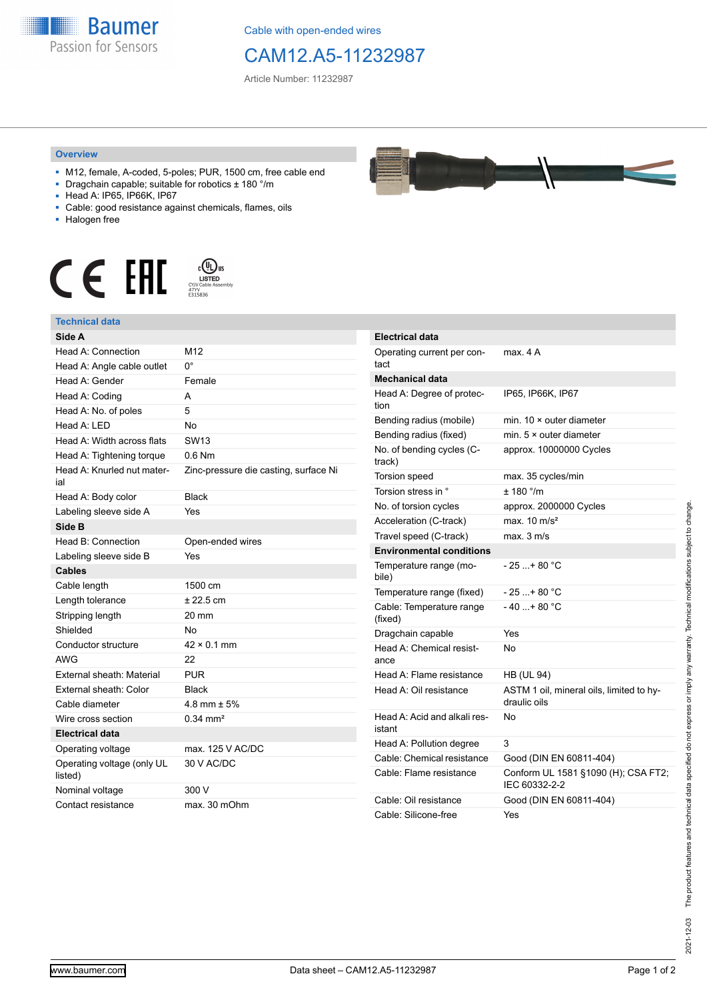

Cable with open-ended wires

## CAM12.A5-11232987

Article Number: 11232987

## **Overview**

- M12, female, A-coded, 5-poles; PUR, 1500 cm, free cable end
- Dragchain capable; suitable for robotics ± 180 °/m
- Head A: IP65, IP66K, IP67
- Cable: good resistance against chemicals, flames, oils
- Halogen free



## **Technical data**

| Side A                                |                                       |
|---------------------------------------|---------------------------------------|
| Head A: Connection                    | M12                                   |
| Head A: Angle cable outlet            | n۰                                    |
| Head A: Gender                        | Female                                |
| Head A: Coding                        | A                                     |
| Head A: No. of poles                  | 5                                     |
| Head $A \cdot IFD$                    | No                                    |
| Head A: Width across flats            | SW <sub>13</sub>                      |
| Head A: Tightening torque             | $0.6$ Nm                              |
| Head A: Knurled nut mater-<br>ial     | Zinc-pressure die casting, surface Ni |
| Head A: Body color                    | <b>Black</b>                          |
| Labeling sleeve side A                | Yes                                   |
| Side B                                |                                       |
| Head B: Connection                    | Open-ended wires                      |
| Labeling sleeve side B                | Yes                                   |
| <b>Cables</b>                         |                                       |
| Cable length                          | 1500 cm                               |
| Length tolerance                      | $± 22.5$ cm                           |
| Stripping length                      | 20 mm                                 |
| Shielded                              | Nο                                    |
| Conductor structure                   | $42 \times 0.1$ mm                    |
| <b>AWG</b>                            | 22                                    |
| External sheath: Material             | <b>PUR</b>                            |
| External sheath: Color                | Black                                 |
| Cable diameter                        | 4.8 mm $\pm$ 5%                       |
| Wire cross section                    | $0.34 \, \text{mm}^2$                 |
| <b>Electrical data</b>                |                                       |
| Operating voltage                     | max. 125 V AC/DC                      |
| Operating voltage (only UL<br>listed) | 30 V AC/DC                            |
| Nominal voltage                       | 300 V                                 |
| Contact resistance                    | max. 30 mOhm                          |

| <b>Electrical data</b>                 |                                                          |
|----------------------------------------|----------------------------------------------------------|
| Operating current per con-<br>tact     | max. 4 A                                                 |
| <b>Mechanical data</b>                 |                                                          |
| Head A: Degree of protec-<br>tion      | IP65, IP66K, IP67                                        |
| Bending radius (mobile)                | min. $10 \times$ outer diameter                          |
| Bending radius (fixed)                 | min. $5 \times$ outer diameter                           |
| No. of bending cycles (C-<br>track)    | approx. 10000000 Cycles                                  |
| Torsion speed                          | max. 35 cycles/min                                       |
| Torsion stress in °                    | ± 180 °/m                                                |
| No. of torsion cycles                  | approx. 2000000 Cycles                                   |
| Acceleration (C-track)                 | max. $10 \text{ m/s}^2$                                  |
| Travel speed (C-track)                 | max. 3 m/s                                               |
| <b>Environmental conditions</b>        |                                                          |
| Temperature range (mo-<br>bile)        | - 25 + 80 °C                                             |
| Temperature range (fixed)              | - 25 + 80 °C                                             |
| Cable: Temperature range<br>(fixed)    | $-40+80 °C$                                              |
| Dragchain capable                      | Yes                                                      |
| Head A: Chemical resist-<br>ance       | No                                                       |
| Head A: Flame resistance               | <b>HB (UL 94)</b>                                        |
| Head A: Oil resistance                 | ASTM 1 oil, mineral oils, limited to hy-<br>draulic oils |
| Head A: Acid and alkali res-<br>istant | No                                                       |
| Head A: Pollution degree               | 3                                                        |
| Cable: Chemical resistance             | Good (DIN EN 60811-404)                                  |
| Cable: Flame resistance                | Conform UL 1581 §1090 (H); CSA FT2;<br>IEC 60332-2-2     |
| Cable: Oil resistance                  | Good (DIN EN 60811-404)                                  |
| Cable: Silicone-free                   | Yes                                                      |